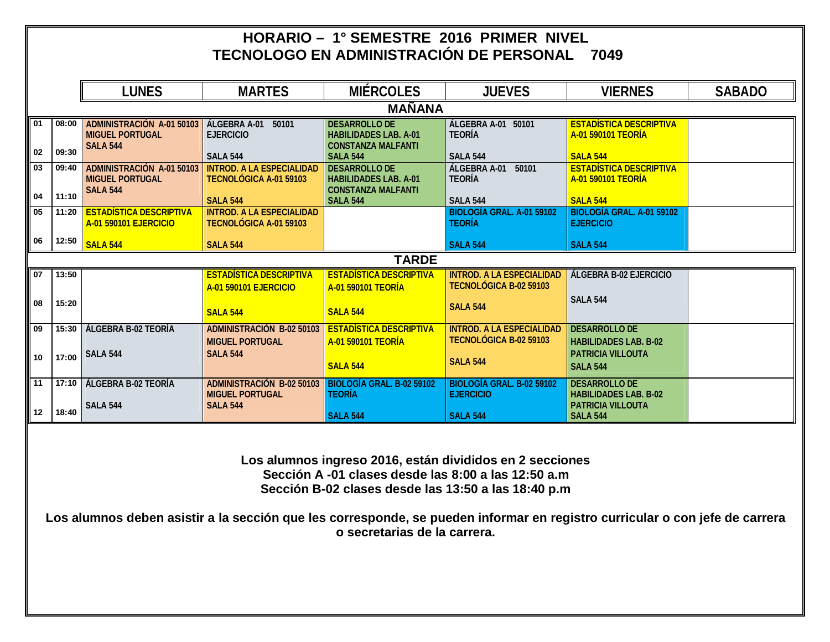|    |       |                                                                               |                                                                               |                                                                                   | HORARIO - 1° SEMESTRE 2016 PRIMER NIVEL<br>TECNOLOGO EN ADMINISTRACIÓN DE PERSONAL                                                                                     | 7049                                                                                                                        |               |
|----|-------|-------------------------------------------------------------------------------|-------------------------------------------------------------------------------|-----------------------------------------------------------------------------------|------------------------------------------------------------------------------------------------------------------------------------------------------------------------|-----------------------------------------------------------------------------------------------------------------------------|---------------|
|    |       | <b>LUNES</b>                                                                  | <b>MARTES</b>                                                                 | <b>MIÉRCOLES</b>                                                                  | <b>JUEVES</b>                                                                                                                                                          | <b>VIERNES</b>                                                                                                              | <b>SABADO</b> |
|    |       |                                                                               |                                                                               | <b>MAÑANA</b>                                                                     |                                                                                                                                                                        |                                                                                                                             |               |
| 01 | 08:00 | <b>ADMINISTRACIÓN A-01 50103</b><br><b>MIGUEL PORTUGAL</b><br><b>SALA 544</b> | <b>ÁLGEBRA A-01 50101</b><br><b>EJERCICIO</b>                                 | <b>DESARROLLO DE</b><br><b>HABILIDADES LAB. A-01</b><br><b>CONSTANZA MALFANTI</b> | <b>ÁLGEBRA A-01 50101</b><br><b>TEORÍA</b>                                                                                                                             | <b>ESTADÍSTICA DESCRIPTIVA</b><br><b>A-01 590101 TEORÍA</b>                                                                 |               |
| 02 | 09:30 |                                                                               | <b>SALA 544</b>                                                               | <b>SALA 544</b>                                                                   | <b>SALA 544</b>                                                                                                                                                        | <b>SALA 544</b>                                                                                                             |               |
| 03 | 09:40 | ADMINISTRACIÓN A-01 50103<br><b>MIGUEL PORTUGAL</b><br><b>SALA 544</b>        | <b>INTROD. A LA ESPECIALIDAD</b><br><b>TECNOLÓGICA A-01 59103</b>             | <b>DESARROLLO DE</b><br><b>HABILIDADES LAB. A-01</b><br><b>CONSTANZA MALFANTI</b> | <b>ÁLGEBRA A-01</b><br>50101<br><b>TEORÍA</b>                                                                                                                          | <b>ESTADÍSTICA DESCRIPTIVA</b><br><b>A-01 590101 TEORÍA</b>                                                                 |               |
| 04 | 11:10 |                                                                               | <b>SALA 544</b>                                                               | <b>SALA 544</b>                                                                   | <b>SALA 544</b>                                                                                                                                                        | <b>SALA 544</b>                                                                                                             |               |
| 05 | 11:20 | <b>ESTADÍSTICA DESCRIPTIVA</b><br><b>A-01 590101 EJERCICIO</b>                | <b>INTROD. A LA ESPECIALIDAD</b><br>TECNOLÓGICA A-01 59103                    |                                                                                   | BIOLOGÍA GRAL. A-01 59102<br><b>TEORÍA</b>                                                                                                                             | BIOLOGÍA GRAL. A-01 59102<br><b>EJERCICIO</b>                                                                               |               |
| 06 | 12:50 | <b>SALA 544</b>                                                               | <b>SALA 544</b>                                                               |                                                                                   | <b>SALA 544</b>                                                                                                                                                        | <b>SALA 544</b>                                                                                                             |               |
|    |       |                                                                               |                                                                               | <b>TARDE</b>                                                                      |                                                                                                                                                                        |                                                                                                                             |               |
| 07 | 13:50 |                                                                               | <b>ESTADÍSTICA DESCRIPTIVA</b><br>A-01 590101 EJERCICIO                       | <b>ESTADÍSTICA DESCRIPTIVA</b><br><b>A-01 590101 TEORÍA</b>                       | <b>INTROD, A LA ESPECIALIDAD</b><br><b>TECNOLÓGICA B-02 59103</b>                                                                                                      | <b>ÁLGEBRA B-02 EJERCICIO</b>                                                                                               |               |
| 08 | 15:20 |                                                                               | <b>SALA 544</b>                                                               | <b>SALA 544</b>                                                                   | <b>SALA 544</b>                                                                                                                                                        | <b>SALA 544</b>                                                                                                             |               |
| 09 | 15:30 | ÁLGEBRA B-02 TEORÍA                                                           | <b>ADMINISTRACIÓN B-02 50103</b><br><b>MIGUEL PORTUGAL</b>                    | <b>ESTADÍSTICA DESCRIPTIVA</b><br><b>A-01 590101 TEORÍA</b>                       | <b>INTROD. A LA ESPECIALIDAD</b><br>TECNOLÓGICA B-02 59103                                                                                                             | <b>DESARROLLO DE</b><br><b>HABILIDADES LAB. B-02</b>                                                                        |               |
| 10 | 17:00 | <b>SALA 544</b>                                                               | <b>SALA 544</b>                                                               | <b>SALA 544</b>                                                                   | <b>SALA 544</b>                                                                                                                                                        | <b>PATRICIA VILLOUTA</b><br><b>SALA 544</b>                                                                                 |               |
| 11 |       | 17:10   ÁLGEBRA B-02 TEORÍA<br><b>SALA 544</b>                                | <b>ADMINISTRACIÓN B-02 50103</b><br><b>MIGUEL PORTUGAL</b><br><b>SALA 544</b> | <b>BIOLOGÍA GRAL. B-02 59102</b><br><b>TEORÍA</b>                                 | BIOLOGÍA GRAL. B-02 59102<br><b>EJERCICIO</b>                                                                                                                          | <b>DESARROLLO DE</b><br><b>HABILIDADES LAB. B-02</b><br><b>PATRICIA VILLOUTA</b>                                            |               |
| 12 | 18:40 |                                                                               |                                                                               | <b>SALA 544</b>                                                                   | <b>SALA 544</b>                                                                                                                                                        | <b>SALA 544</b>                                                                                                             |               |
|    |       |                                                                               |                                                                               | o secretarias de la carrera.                                                      | Los alumnos ingreso 2016, están divididos en 2 secciones<br>Sección A -01 clases desde las 8:00 a las 12:50 a.m<br>Sección B-02 clases desde las 13:50 a las 18:40 p.m | Los alumnos deben asistir a la sección que les corresponde, se pueden informar en registro curricular o con jefe de carrera |               |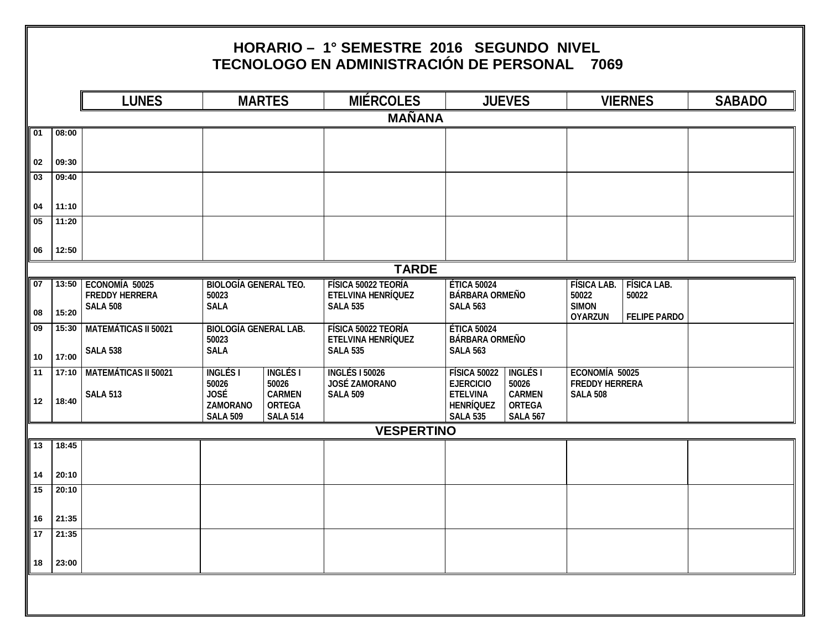|                       |                | <b>LUNES</b>                                               |                                                            | <b>MARTES</b>                                     | <b>MIÉRCOLES</b>                                                           | <b>JUEVES</b>                                                  |                                                   |                                             | <b>VIERNES</b>              | <b>SABADO</b> |
|-----------------------|----------------|------------------------------------------------------------|------------------------------------------------------------|---------------------------------------------------|----------------------------------------------------------------------------|----------------------------------------------------------------|---------------------------------------------------|---------------------------------------------|-----------------------------|---------------|
|                       |                |                                                            |                                                            |                                                   | <b>MAÑANA</b>                                                              |                                                                |                                                   |                                             |                             |               |
| 01                    | 08:00          |                                                            |                                                            |                                                   |                                                                            |                                                                |                                                   |                                             |                             |               |
| 02                    | 09:30          |                                                            |                                                            |                                                   |                                                                            |                                                                |                                                   |                                             |                             |               |
| $\overline{03}$       | 09:40          |                                                            |                                                            |                                                   |                                                                            |                                                                |                                                   |                                             |                             |               |
| 04                    | 11:10          |                                                            |                                                            |                                                   |                                                                            |                                                                |                                                   |                                             |                             |               |
| 05                    | 11:20          |                                                            |                                                            |                                                   |                                                                            |                                                                |                                                   |                                             |                             |               |
| 06                    | 12:50          |                                                            |                                                            |                                                   |                                                                            |                                                                |                                                   |                                             |                             |               |
|                       |                |                                                            |                                                            |                                                   | <b>TARDE</b>                                                               |                                                                |                                                   |                                             |                             |               |
| $\overline{07}$<br>08 | 13:50<br>15:20 | ECONOMÍA 50025<br><b>FREDDY HERRERA</b><br><b>SALA 508</b> | <b>BIOLOGÍA GENERAL TEO.</b><br>50023<br><b>SALA</b>       |                                                   | <b>FÍSICA 50022 TEORÍA</b><br><b>ETELVINA HENRÍQUEZ</b><br><b>SALA 535</b> | <b>ÉTICA 50024</b><br><b>BÁRBARA ORMEÑO</b><br><b>SALA 563</b> |                                                   | <b>FÍSICA LAB.</b><br>50022<br><b>SIMON</b> | <b>FÍSICA LAB.</b><br>50022 |               |
| 09                    | 15:30          | <b>MATEMÁTICAS II 50021</b>                                | <b>BIOLOGÍA GENERAL LAB.</b>                               |                                                   | FÍSICA 50022 TEORÍA                                                        | <b>ÉTICA 50024</b>                                             | <b>OYARZUN</b>                                    | <b>FELIPE PARDO</b>                         |                             |               |
| ∥ 10                  | 17:00          | <b>SALA 538</b>                                            | 50023<br><b>SALA</b>                                       |                                                   | ETELVINA HENRÍQUEZ<br><b>SALA 535</b>                                      | <b>BÁRBARA ORMEÑO</b><br><b>SALA 563</b>                       |                                                   |                                             |                             |               |
| $\sqrt{11}$           | 17:10          | <b>MATEMÁTICAS II 50021</b>                                | <b>INGLÉSI</b>                                             | <b>INGLÉSI</b><br>50026                           | <b>INGLÉS I 50026</b><br><b>JOSÉ ZAMORANO</b>                              | <b>FÍSICA 50022</b><br><b>EJERCICIO</b>                        | <b>INGLÉS I</b><br>50026                          | ECONOMÍA 50025<br><b>FREDDY HERRERA</b>     |                             |               |
| 12                    | 18:40          | <b>SALA 513</b>                                            | 50026<br><b>JOSÉ</b><br><b>ZAMORANO</b><br><b>SALA 509</b> | <b>CARMEN</b><br><b>ORTEGA</b><br><b>SALA 514</b> | <b>SALA 509</b>                                                            | <b>ETELVINA</b><br><b>HENRÍQUEZ</b><br><b>SALA 535</b>         | <b>CARMEN</b><br><b>ORTEGA</b><br><b>SALA 567</b> | <b>SALA 508</b>                             |                             |               |
|                       |                |                                                            |                                                            |                                                   | <b>VESPERTINO</b>                                                          |                                                                |                                                   |                                             |                             |               |
| $\sqrt{13}$           | 18:45          |                                                            |                                                            |                                                   |                                                                            |                                                                |                                                   |                                             |                             |               |
| 14                    | 20:10          |                                                            |                                                            |                                                   |                                                                            |                                                                |                                                   |                                             |                             |               |
| $\sqrt{15}$           | 20:10          |                                                            |                                                            |                                                   |                                                                            |                                                                |                                                   |                                             |                             |               |
| $16\,$                | 21:35          |                                                            |                                                            |                                                   |                                                                            |                                                                |                                                   |                                             |                             |               |
| 17                    | 21:35          |                                                            |                                                            |                                                   |                                                                            |                                                                |                                                   |                                             |                             |               |
| 18                    | 23:00          |                                                            |                                                            |                                                   |                                                                            |                                                                |                                                   |                                             |                             |               |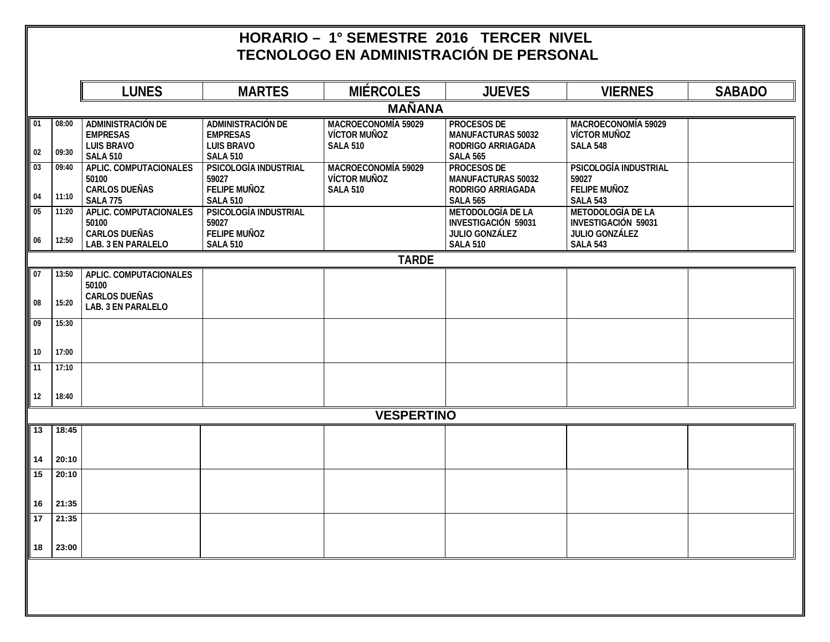## **HORARIO – 1° SEMESTRE 2016 TERCER NIVEL TECNOLOGO EN ADMINISTRACIÓN DE PERSONAL**

|                 |       | <b>LUNES</b>                                                     | <b>MARTES</b>                                                    | <b>MIÉRCOLES</b>                                                     | <b>JUEVES</b>                                                                   | <b>VIERNES</b>                                                                  | <b>SABADO</b> |
|-----------------|-------|------------------------------------------------------------------|------------------------------------------------------------------|----------------------------------------------------------------------|---------------------------------------------------------------------------------|---------------------------------------------------------------------------------|---------------|
|                 |       |                                                                  |                                                                  | <b>MAÑANA</b>                                                        |                                                                                 |                                                                                 |               |
| 01              | 08:00 | <b>ADMINISTRACIÓN DE</b><br><b>EMPRESAS</b><br><b>LUIS BRAVO</b> | <b>ADMINISTRACIÓN DE</b><br><b>EMPRESAS</b><br><b>LUIS BRAVO</b> | <b>MACROECONOMÍA 59029</b><br><b>VÍCTOR MUÑOZ</b><br><b>SALA 510</b> | <b>PROCESOS DE</b><br><b>MANUFACTURAS 50032</b><br><b>RODRIGO ARRIAGADA</b>     | <b>MACROECONOMÍA 59029</b><br><b>VÍCTOR MUÑOZ</b><br><b>SALA 548</b>            |               |
| $02\,$          | 09:30 | <b>SALA 510</b>                                                  | <b>SALA 510</b>                                                  |                                                                      | <b>SALA 565</b>                                                                 |                                                                                 |               |
| $\overline{03}$ | 09:40 | <b>APLIC. COMPUTACIONALES</b><br>50100<br><b>CARLOS DUEÑAS</b>   | <b>PSICOLOGÍA INDUSTRIAL</b><br>59027<br><b>FELIPE MUÑOZ</b>     | <b>MACROECONOMÍA 59029</b><br><b>VÍCTOR MUÑOZ</b><br><b>SALA 510</b> | <b>PROCESOS DE</b><br><b>MANUFACTURAS 50032</b><br><b>RODRIGO ARRIAGADA</b>     | <b>PSICOLOGÍA INDUSTRIAL</b><br>59027<br><b>FELIPE MUÑOZ</b>                    |               |
| 04              | 11:10 | <b>SALA 775</b>                                                  | <b>SALA 510</b>                                                  |                                                                      | <b>SALA 565</b>                                                                 | <b>SALA 543</b>                                                                 |               |
| 05              | 11:20 | <b>APLIC. COMPUTACIONALES</b><br>50100<br><b>CARLOS DUEÑAS</b>   | <b>PSICOLOGÍA INDUSTRIAL</b><br>59027<br><b>FELIPE MUÑOZ</b>     |                                                                      | <b>METODOLOGÍA DE LA</b><br><b>INVESTIGACIÓN 59031</b><br><b>JULIO GONZÁLEZ</b> | <b>METODOLOGÍA DE LA</b><br><b>INVESTIGACIÓN 59031</b><br><b>JULIO GONZÁLEZ</b> |               |
| 06              | 12:50 | <b>LAB. 3 EN PARALELO</b>                                        | <b>SALA 510</b>                                                  |                                                                      | <b>SALA 510</b>                                                                 | <b>SALA 543</b>                                                                 |               |
|                 |       |                                                                  |                                                                  | <b>TARDE</b>                                                         |                                                                                 |                                                                                 |               |
| 07              | 13:50 | <b>APLIC. COMPUTACIONALES</b>                                    |                                                                  |                                                                      |                                                                                 |                                                                                 |               |
|                 |       | 50100                                                            |                                                                  |                                                                      |                                                                                 |                                                                                 |               |
| 08              | 15:20 | <b>CARLOS DUEÑAS</b><br><b>LAB. 3 EN PARALELO</b>                |                                                                  |                                                                      |                                                                                 |                                                                                 |               |
| 09              | 15:30 |                                                                  |                                                                  |                                                                      |                                                                                 |                                                                                 |               |
| 10              | 17:00 |                                                                  |                                                                  |                                                                      |                                                                                 |                                                                                 |               |
| 11              | 17:10 |                                                                  |                                                                  |                                                                      |                                                                                 |                                                                                 |               |
| 12              | 18:40 |                                                                  |                                                                  |                                                                      |                                                                                 |                                                                                 |               |
|                 |       |                                                                  |                                                                  | <b>VESPERTINO</b>                                                    |                                                                                 |                                                                                 |               |
| 13              | 18:45 |                                                                  |                                                                  |                                                                      |                                                                                 |                                                                                 |               |
| 14              | 20:10 |                                                                  |                                                                  |                                                                      |                                                                                 |                                                                                 |               |
| 15              | 20:10 |                                                                  |                                                                  |                                                                      |                                                                                 |                                                                                 |               |
| 16              | 21:35 |                                                                  |                                                                  |                                                                      |                                                                                 |                                                                                 |               |
| $\overline{17}$ | 21:35 |                                                                  |                                                                  |                                                                      |                                                                                 |                                                                                 |               |
| 18              | 23:00 |                                                                  |                                                                  |                                                                      |                                                                                 |                                                                                 |               |
|                 |       |                                                                  |                                                                  |                                                                      |                                                                                 |                                                                                 |               |
|                 |       |                                                                  |                                                                  |                                                                      |                                                                                 |                                                                                 |               |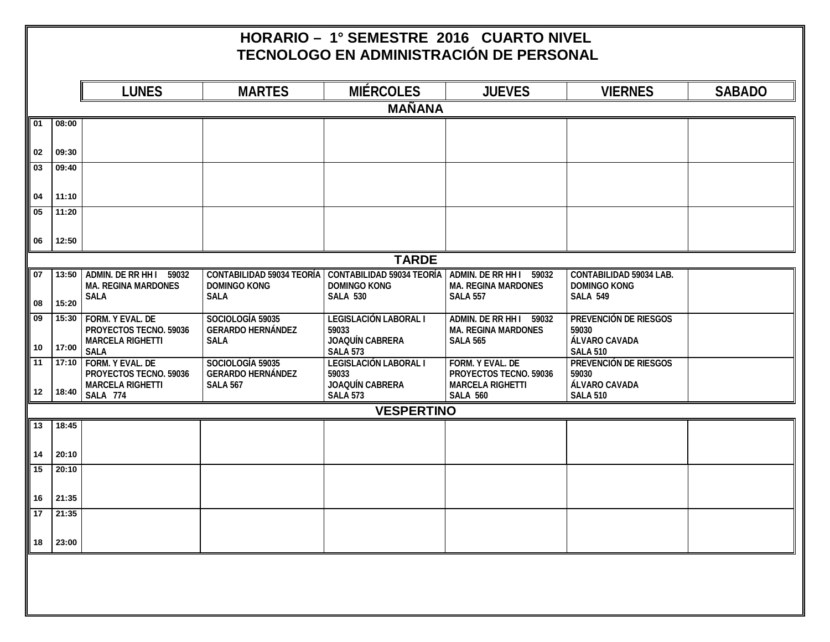## **HORARIO – 1° SEMESTRE 2016 CUARTO NIVEL TECNOLOGO EN ADMINISTRACIÓN DE PERSONAL**

|                       |                | <b>LUNES</b>                                          | <b>MARTES</b>                           | <b>MIÉRCOLES</b>                                                           | <b>JUEVES</b>                                         | <b>VIERNES</b>                                        | <b>SABADO</b> |
|-----------------------|----------------|-------------------------------------------------------|-----------------------------------------|----------------------------------------------------------------------------|-------------------------------------------------------|-------------------------------------------------------|---------------|
|                       |                |                                                       |                                         | <b>MAÑANA</b>                                                              |                                                       |                                                       |               |
| 01                    | 08:00          |                                                       |                                         |                                                                            |                                                       |                                                       |               |
|                       |                |                                                       |                                         |                                                                            |                                                       |                                                       |               |
| 02<br>$\overline{03}$ | 09:30<br>09:40 |                                                       |                                         |                                                                            |                                                       |                                                       |               |
|                       |                |                                                       |                                         |                                                                            |                                                       |                                                       |               |
| 04                    | 11:10          |                                                       |                                         |                                                                            |                                                       |                                                       |               |
| 05                    | 11:20          |                                                       |                                         |                                                                            |                                                       |                                                       |               |
| 06                    | 12:50          |                                                       |                                         |                                                                            |                                                       |                                                       |               |
|                       |                |                                                       |                                         | <b>TARDE</b>                                                               |                                                       |                                                       |               |
| 07                    | 13:50          | ADMIN. DE RR HH I 59032<br><b>MA. REGINA MARDONES</b> | <b>DOMINGO KONG</b>                     | CONTABILIDAD 59034 TEORÍA CONTABILIDAD 59034 TEORÍA<br><b>DOMINGO KONG</b> | ADMIN. DE RR HH I 59032<br><b>MA. REGINA MARDONES</b> | <b>CONTABILIDAD 59034 LAB.</b><br><b>DOMINGO KONG</b> |               |
| 08                    | 15:20          | <b>SALA</b>                                           | <b>SALA</b>                             | <b>SALA 530</b>                                                            | <b>SALA 557</b>                                       | <b>SALA 549</b>                                       |               |
| 09                    | 15:30          | <b>FORM. Y EVAL. DE</b>                               | SOCIOLOGÍA 59035                        | <b>LEGISLACIÓN LABORAL I</b>                                               | <b>ADMIN. DE RR HH I</b><br>59032                     | PREVENCIÓN DE RIESGOS                                 |               |
|                       |                | PROYECTOS TECNO. 59036<br><b>MARCELA RIGHETTI</b>     | <b>GERARDO HERNÁNDEZ</b><br><b>SALA</b> | 59033<br><b>JOAQUÍN CABRERA</b>                                            | <b>MA. REGINA MARDONES</b><br><b>SALA 565</b>         | 59030<br>ÁLVARO CAVADA                                |               |
| 10<br>$\sqrt{11}$     | 17:00          | <b>SALA</b><br><b>FORM. Y EVAL. DE</b>                | SOCIOLOGÍA 59035                        | <b>SALA 573</b><br><b>LEGISLACIÓN LABORAL I</b>                            | <b>FORM. Y EVAL. DE</b>                               | <b>SALA 510</b><br><b>PREVENCIÓN DE RIESGOS</b>       |               |
|                       | 17:10          | PROYECTOS TECNO. 59036                                | <b>GERARDO HERNÁNDEZ</b>                | 59033                                                                      | PROYECTOS TECNO. 59036                                | 59030                                                 |               |
| 12                    | 18:40          | <b>MARCELA RIGHETTI</b><br><b>SALA 774</b>            | <b>SALA 567</b>                         | <b>JOAQUÍN CABRERA</b><br><b>SALA 573</b>                                  | <b>MARCELA RIGHETTI</b><br><b>SALA 560</b>            | ÁLVARO CAVADA<br><b>SALA 510</b>                      |               |
|                       |                |                                                       |                                         | <b>VESPERTINO</b>                                                          |                                                       |                                                       |               |
| 13                    | 18:45          |                                                       |                                         |                                                                            |                                                       |                                                       |               |
| 14                    | 20:10          |                                                       |                                         |                                                                            |                                                       |                                                       |               |
| 15                    | 20:10          |                                                       |                                         |                                                                            |                                                       |                                                       |               |
|                       |                |                                                       |                                         |                                                                            |                                                       |                                                       |               |
| 16<br>17              | 21:35<br>21:35 |                                                       |                                         |                                                                            |                                                       |                                                       |               |
|                       |                |                                                       |                                         |                                                                            |                                                       |                                                       |               |
| 18                    | 23:00          |                                                       |                                         |                                                                            |                                                       |                                                       |               |
|                       |                |                                                       |                                         |                                                                            |                                                       |                                                       |               |
|                       |                |                                                       |                                         |                                                                            |                                                       |                                                       |               |
|                       |                |                                                       |                                         |                                                                            |                                                       |                                                       |               |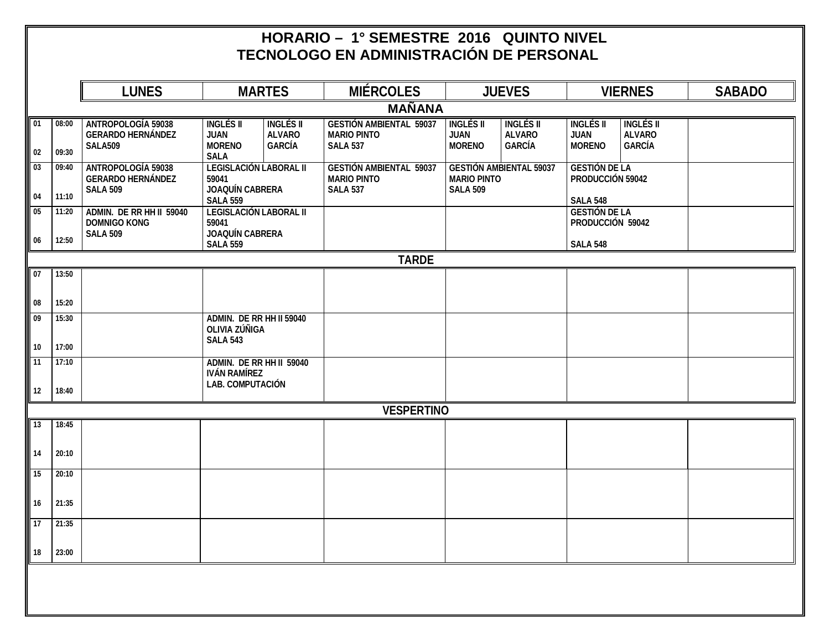## **HORARIO – 1° SEMESTRE 2016 QUINTO NIVEL TECNOLOGO EN ADMINISTRACIÓN DE PERSONAL**

|                                           | <b>LUNES</b>                                                             |                                                                                     | <b>MARTES</b>                                      | <b>MIÉRCOLES</b>                                                        |                                                                         | <b>JUEVES</b>                                      |                                                             | <b>VIERNES</b>                                     | <b>SABADO</b> |
|-------------------------------------------|--------------------------------------------------------------------------|-------------------------------------------------------------------------------------|----------------------------------------------------|-------------------------------------------------------------------------|-------------------------------------------------------------------------|----------------------------------------------------|-------------------------------------------------------------|----------------------------------------------------|---------------|
|                                           |                                                                          |                                                                                     |                                                    | <b>MAÑANA</b>                                                           |                                                                         |                                                    |                                                             |                                                    |               |
| $\sqrt{01}$<br>08:00<br>02<br>09:30       | <b>ANTROPOLOGÍA 59038</b><br><b>GERARDO HERNÁNDEZ</b><br><b>SALA509</b>  | <b>INGLÉS II</b><br><b>JUAN</b><br><b>MORENO</b>                                    | <b>INGLÉS II</b><br><b>ALVARO</b><br><b>GARCÍA</b> | <b>GESTIÓN AMBIENTAL 59037</b><br><b>MARIO PINTO</b><br><b>SALA 537</b> | <b>INGLÉS II</b><br><b>JUAN</b><br><b>MORENO</b>                        | <b>INGLÉS II</b><br><b>ALVARO</b><br><b>GARCÍA</b> | <b>INGLÉS II</b><br><b>JUAN</b><br><b>MORENO</b>            | <b>INGLÉS II</b><br><b>ALVARO</b><br><b>GARCÍA</b> |               |
| 03<br>09:40                               | <b>ANTROPOLOGÍA 59038</b><br><b>GERARDO HERNÁNDEZ</b><br><b>SALA 509</b> | <b>SALA</b><br><b>LEGISLACIÓN LABORAL II</b><br>59041<br><b>JOAQUÍN CABRERA</b>     |                                                    | <b>GESTIÓN AMBIENTAL 59037</b><br><b>MARIO PINTO</b><br><b>SALA 537</b> | <b>GESTIÓN AMBIENTAL 59037</b><br><b>MARIO PINTO</b><br><b>SALA 509</b> |                                                    | <b>GESTIÓN DE LA</b><br>PRODUCCIÓN 59042                    |                                                    |               |
| 04<br>11:10<br>05<br>11:20<br>06<br>12:50 | ADMIN. DE RR HH II 59040<br><b>DOMNIGO KONG</b><br><b>SALA 509</b>       | <b>SALA 559</b><br><b>LEGISLACIÓN LABORAL II</b><br>59041<br><b>JOAQUÍN CABRERA</b> |                                                    |                                                                         |                                                                         |                                                    | <b>SALA 548</b><br><b>GESTIÓN DE LA</b><br>PRODUCCIÓN 59042 |                                                    |               |
|                                           |                                                                          | <b>SALA 559</b>                                                                     |                                                    |                                                                         |                                                                         |                                                    | <b>SALA 548</b>                                             |                                                    |               |
| $\sqrt{107}$<br>13:50                     |                                                                          |                                                                                     |                                                    | <b>TARDE</b>                                                            |                                                                         |                                                    |                                                             |                                                    |               |
|                                           |                                                                          |                                                                                     |                                                    |                                                                         |                                                                         |                                                    |                                                             |                                                    |               |
| $\parallel$ 08<br>15:20<br>09<br>15:30    |                                                                          | ADMIN. DE RR HH II 59040                                                            |                                                    |                                                                         |                                                                         |                                                    |                                                             |                                                    |               |
|                                           |                                                                          | OLIVIA ZÚÑIGA<br><b>SALA 543</b>                                                    |                                                    |                                                                         |                                                                         |                                                    |                                                             |                                                    |               |
| 10<br>17:00<br>$\sqrt{11}$<br>17:10       |                                                                          | ADMIN. DE RR HH II 59040                                                            |                                                    |                                                                         |                                                                         |                                                    |                                                             |                                                    |               |
| $12$<br>18:40                             |                                                                          | <b>IVÁN RAMÍREZ</b><br><b>LAB. COMPUTACIÓN</b>                                      |                                                    |                                                                         |                                                                         |                                                    |                                                             |                                                    |               |
|                                           |                                                                          |                                                                                     |                                                    | <b>VESPERTINO</b>                                                       |                                                                         |                                                    |                                                             |                                                    |               |
| $\sqrt{13}$<br>18:45                      |                                                                          |                                                                                     |                                                    |                                                                         |                                                                         |                                                    |                                                             |                                                    |               |
| <b>14</b><br>20:10                        |                                                                          |                                                                                     |                                                    |                                                                         |                                                                         |                                                    |                                                             |                                                    |               |
|                                           |                                                                          |                                                                                     |                                                    |                                                                         |                                                                         |                                                    |                                                             |                                                    |               |
| $\sqrt{15}$<br>20:10                      |                                                                          |                                                                                     |                                                    |                                                                         |                                                                         |                                                    |                                                             |                                                    |               |
| $\parallel$ 16<br>21:35                   |                                                                          |                                                                                     |                                                    |                                                                         |                                                                         |                                                    |                                                             |                                                    |               |
| $\sqrt{17}$<br>21:35                      |                                                                          |                                                                                     |                                                    |                                                                         |                                                                         |                                                    |                                                             |                                                    |               |
| $\parallel$ 18<br>23:00                   |                                                                          |                                                                                     |                                                    |                                                                         |                                                                         |                                                    |                                                             |                                                    |               |
|                                           |                                                                          |                                                                                     |                                                    |                                                                         |                                                                         |                                                    |                                                             |                                                    |               |
|                                           |                                                                          |                                                                                     |                                                    |                                                                         |                                                                         |                                                    |                                                             |                                                    |               |
|                                           |                                                                          |                                                                                     |                                                    |                                                                         |                                                                         |                                                    |                                                             |                                                    |               |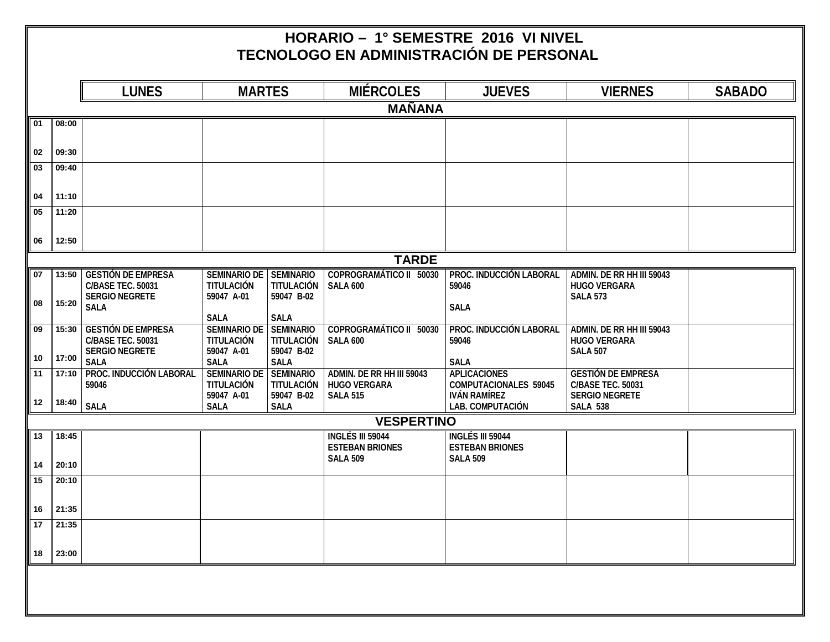## **HORARIO – 1° SEMESTRE 2016 VI NIVEL TECNOLOGO EN ADMINISTRACIÓN DE PERSONAL**

|                 |       | <b>LUNES</b>                         | <b>MARTES</b>                   |                                 | <b>MIÉRCOLES</b>                       | <b>JUEVES</b>                                       | <b>VIERNES</b>                                    | <b>SABADO</b> |
|-----------------|-------|--------------------------------------|---------------------------------|---------------------------------|----------------------------------------|-----------------------------------------------------|---------------------------------------------------|---------------|
|                 |       |                                      |                                 |                                 | <b>MAÑANA</b>                          |                                                     |                                                   |               |
| $\overline{01}$ | 08:00 |                                      |                                 |                                 |                                        |                                                     |                                                   |               |
|                 |       |                                      |                                 |                                 |                                        |                                                     |                                                   |               |
| 02              | 09:30 |                                      |                                 |                                 |                                        |                                                     |                                                   |               |
| 03              | 09:40 |                                      |                                 |                                 |                                        |                                                     |                                                   |               |
| 04              | 11:10 |                                      |                                 |                                 |                                        |                                                     |                                                   |               |
| 05              | 11:20 |                                      |                                 |                                 |                                        |                                                     |                                                   |               |
|                 |       |                                      |                                 |                                 |                                        |                                                     |                                                   |               |
| 06              | 12:50 |                                      |                                 |                                 |                                        |                                                     |                                                   |               |
|                 |       |                                      |                                 |                                 | <b>TARDE</b>                           |                                                     |                                                   |               |
| 07              | 13:50 | <b>GESTIÓN DE EMPRESA</b>            | <b>SEMINARIO DE</b>             | <b>SEMINARIO</b>                | <b>COPROGRAMÁTICO II 50030</b>         | PROC. INDUCCIÓN LABORAL                             | ADMIN. DE RR HH III 59043                         |               |
|                 |       | <b>C/BASE TEC. 50031</b>             | TITULACIÓN                      | <b>TITULACIÓN</b>               | <b>SALA 600</b>                        | 59046                                               | <b>HUGO VERGARA</b>                               |               |
| 08              | 15:20 | <b>SERGIO NEGRETE</b><br><b>SALA</b> | 59047 A-01                      | 59047 B-02                      |                                        | <b>SALA</b>                                         | <b>SALA 573</b>                                   |               |
|                 |       |                                      | <b>SALA</b>                     | <b>SALA</b>                     |                                        |                                                     |                                                   |               |
| 09              | 15:30 | <b>GESTIÓN DE EMPRESA</b>            | <b>SEMINARIO DE</b>             | <b>SEMINARIO</b>                | <b>COPROGRAMÁTICO II 50030</b>         | <b>PROC. INDUCCIÓN LABORAL</b>                      | <b>ADMIN. DE RR HH III 59043</b>                  |               |
|                 |       | <b>C/BASE TEC. 50031</b>             | <b>TITULACIÓN</b>               | <b>TITULACIÓN</b>               | <b>SALA 600</b>                        | 59046                                               | <b>HUGO VERGARA</b>                               |               |
| 10              | 17:00 | <b>SERGIO NEGRETE</b>                | 59047 A-01                      | 59047 B-02                      |                                        |                                                     | <b>SALA 507</b>                                   |               |
|                 |       | <b>SALA</b>                          | <b>SALA</b>                     | <b>SALA</b>                     |                                        | <b>SALA</b>                                         |                                                   |               |
| 11              | 17:10 | <b>PROC. INDUCCIÓN LABORAL</b>       | <b>SEMINARIO DE</b>             | <b>SEMINARIO</b>                | ADMIN. DE RR HH III 59043              | <b>APLICACIONES</b>                                 | <b>GESTIÓN DE EMPRESA</b>                         |               |
|                 |       | 59046                                | <b>TITULACIÓN</b><br>59047 A-01 | <b>TITULACIÓN</b><br>59047 B-02 | <b>HUGO VERGARA</b><br><b>SALA 515</b> | <b>COMPUTACIONALES 59045</b><br><b>IVÁN RAMÍREZ</b> | <b>C/BASE TEC. 50031</b><br><b>SERGIO NEGRETE</b> |               |
| 12              | 18:40 | <b>SALA</b>                          | <b>SALA</b>                     | <b>SALA</b>                     |                                        | <b>LAB. COMPUTACIÓN</b>                             | <b>SALA 538</b>                                   |               |
|                 |       |                                      |                                 |                                 | <b>VESPERTINO</b>                      |                                                     |                                                   |               |
| 13              | 18:45 |                                      |                                 |                                 | <b>INGLÉS III 59044</b>                | <b>INGLÉS III 59044</b>                             |                                                   |               |
|                 |       |                                      |                                 |                                 | <b>ESTEBAN BRIONES</b>                 | <b>ESTEBAN BRIONES</b>                              |                                                   |               |
| 14              | 20:10 |                                      |                                 |                                 | <b>SALA 509</b>                        | <b>SALA 509</b>                                     |                                                   |               |
| $\sqrt{15}$     | 20:10 |                                      |                                 |                                 |                                        |                                                     |                                                   |               |
|                 |       |                                      |                                 |                                 |                                        |                                                     |                                                   |               |
| 16              | 21:35 |                                      |                                 |                                 |                                        |                                                     |                                                   |               |
| 17              | 21:35 |                                      |                                 |                                 |                                        |                                                     |                                                   |               |
|                 |       |                                      |                                 |                                 |                                        |                                                     |                                                   |               |
| 18              | 23:00 |                                      |                                 |                                 |                                        |                                                     |                                                   |               |
|                 |       |                                      |                                 |                                 |                                        |                                                     |                                                   |               |